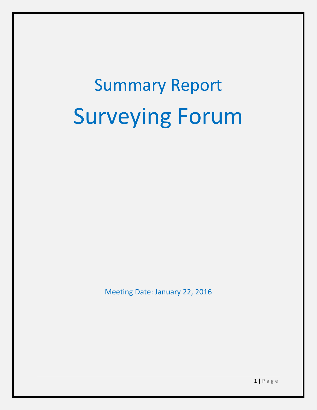# Summary Report Surveying Forum

Meeting Date: January 22, 2016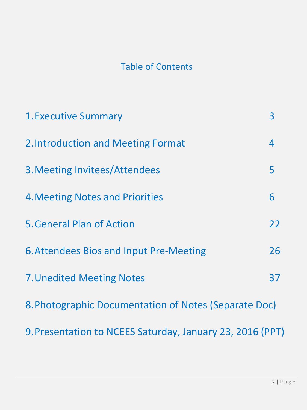## Table of Contents

| <b>1. Executive Summary</b>                               | $\overline{3}$ |  |  |
|-----------------------------------------------------------|----------------|--|--|
| 2. Introduction and Meeting Format                        | 4              |  |  |
| 3. Meeting Invitees/Attendees                             | 5              |  |  |
| <b>4. Meeting Notes and Priorities</b>                    | 6              |  |  |
| <b>5. General Plan of Action</b>                          | 22             |  |  |
| <b>6. Attendees Bios and Input Pre-Meeting</b>            | 26             |  |  |
| <b>7. Unedited Meeting Notes</b>                          | 37             |  |  |
| 8. Photographic Documentation of Notes (Separate Doc)     |                |  |  |
| 9. Presentation to NCEES Saturday, January 23, 2016 (PPT) |                |  |  |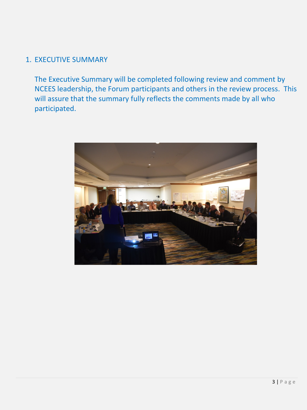## 1. EXECUTIVE SUMMARY

The Executive Summary will be completed following review and comment by NCEES leadership, the Forum participants and others in the review process. This will assure that the summary fully reflects the comments made by all who participated.

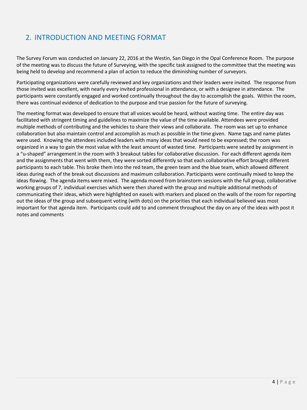## 2. INTRODUCTION AND MEETING FORMAT

The Survey Forum was conducted on January 22, 2016 at the Westin, San Diego in the Opal Conference Room. The purpose of the meeting was to discuss the future of Surveying, with the specific task assigned to the committee that the meeting was being held to develop and recommend a plan of action to reduce the diminishing number of surveyors.

Participating organizations were carefully reviewed and key organizations and their leaders were invited. The response from those invited was excellent, with nearly every invited professional in attendance, or with a designee in attendance. The participants were constantly engaged and worked continually throughout the day to accomplish the goals. Within the room, there was continual evidence of dedication to the purpose and true passion for the future of surveying.

The meeting format was developed to ensure that all voices would be heard, without wasting time. The entire day was facilitated with stringent timing and guidelines to maximize the value of the time available. Attendees were provided multiple methods of contributing and the vehicles to share their views and collaborate. The room was set up to enhance collaboration but also maintain control and accomplish as much as possible in the time given. Name tags and name plates were used. Knowing the attendees included leaders with many ideas that would need to be expressed; the room was organized in a way to gain the most value with the least amount of wasted time. Participants were seated by assignment in a "u-shaped" arrangement in the room with 3 breakout tables for collaborative discussion. For each different agenda item and the assignments that went with them, they were sorted differently so that each collaborative effort brought different participants to each table. This broke them into the red team, the green team and the blue team, which allowed different ideas during each of the break out discussions and maximum collaboration. Participants were continually mixed to keep the ideas flowing. The agenda items were mixed. The agenda moved from brainstorm sessions with the full group, collaborative working groups of 7, individual exercises which were then shared with the group and multiple additional methods of communicating their ideas, which were highlighted on easels with markers and placed on the walls of the room for reporting out the ideas of the group and subsequent voting (with dots) on the priorities that each individual believed was most important for that agenda item. Participants could add to and comment throughout the day on any of the ideas with post it notes and comments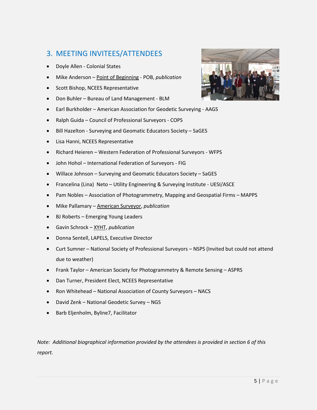## 3. MEETING INVITEES/ATTENDEES

- Doyle Allen Colonial States
- Mike Anderson Point of Beginning POB, *publication*
- Scott Bishop, NCEES Representative
- Don Buhler Bureau of Land Management BLM
- Earl Burkholder American Association for Geodetic Surveying AAGS
- Ralph Guida Council of Professional Surveyors COPS
- Bill Hazelton Surveying and Geomatic Educators Society SaGES
- Lisa Hanni, NCEES Representative
- Richard Heieren Western Federation of Professional Surveyors WFPS
- John Hohol International Federation of Surveyors FIG
- Willace Johnson Surveying and Geomatic Educators Society SaGES
- Francelina (Lina) Neto Utility Engineering & Surveying Institute UESI/ASCE
- Pam Nobles Association of Photogrammetry, Mapping and Geospatial Firms MAPPS
- Mike Pallamary American Surveyor, *publication*
- BJ Roberts Emerging Young Leaders
- Gavin Schrock XYHT, *publication*
- Donna Sentell, LAPELS, Executive Director
- Curt Sumner National Society of Professional Surveyors NSPS (Invited but could not attend due to weather)
- Frank Taylor American Society for Photogrammetry & Remote Sensing ASPRS
- Dan Turner, President Elect, NCEES Representative
- Ron Whitehead National Association of County Surveyors NACS
- David Zenk National Geodetic Survey NGS
- Barb Eljenholm, Byline7, Facilitator

*Note: Additional biographical information provided by the attendees is provided in section 6 of this report.*

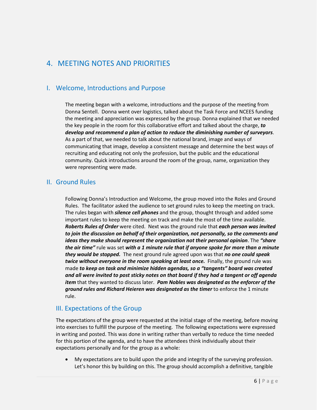## 4. MEETING NOTES AND PRIORITIES

## I. Welcome, Introductions and Purpose

The meeting began with a welcome, introductions and the purpose of the meeting from Donna Sentell. Donna went over logistics, talked about the Task Force and NCEES funding the meeting and appreciation was expressed by the group. Donna explained that we needed the key people in the room for this collaborative effort and talked about the charge, *to develop and recommend a plan of action to reduce the diminishing number of surveyors*. As a part of that, we needed to talk about the national brand, image and ways of communicating that image, develop a consistent message and determine the best ways of recruiting and educating not only the profession, but the public and the educational community. Quick introductions around the room of the group, name, organization they were representing were made.

## II. Ground Rules

Following Donna's Introduction and Welcome, the group moved into the Roles and Ground Rules. The facilitator asked the audience to set ground rules to keep the meeting on track. The rules began with *silence cell phones* and the group, thought through and added some important rules to keep the meeting on track and make the most of the time available. *Roberts Rules of Order* were cited. Next was the ground rule that *each person was invited to join the discussion on behalf of their organization, not personally, so the comments and ideas they make should represent the organization not their personal opinion*. The *"share the air time"* rule was set *with a 1 minute rule that if anyone spoke for more than a minute they would be stopped.* The next ground rule agreed upon was that *no one could speak twice without everyone in the room speaking at least once.* Finally, the ground rule was made *to keep on task and minimize hidden agendas, so a "tangents" board was created and all were invited to post sticky notes on that board if they had a tangent or off agenda item* that they wanted to discuss later. *Pam Nobles was designated as the enforcer of the ground rules and Richard Heieren was designated as the timer* to enforce the 1 minute rule.

## III. Expectations of the Group

The expectations of the group were requested at the initial stage of the meeting, before moving into exercises to fulfill the purpose of the meeting. The following expectations were expressed in writing and posted. This was done in writing rather than verbally to reduce the time needed for this portion of the agenda, and to have the attendees think individually about their expectations personally and for the group as a whole:

• My expectations are to build upon the pride and integrity of the surveying profession. Let's honor this by building on this. The group should accomplish a definitive, tangible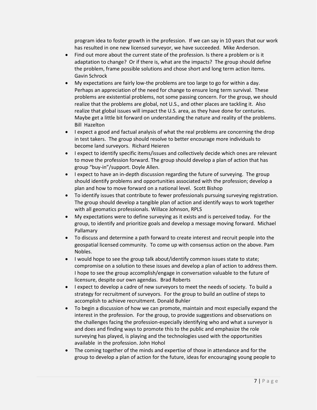program idea to foster growth in the profession. If we can say in 10 years that our work has resulted in one new licensed surveyor, we have succeeded. Mike Anderson.

- Find out more about the current state of the profession. Is there a problem or is it adaptation to change? Or if there is, what are the impacts? The group should define the problem, frame possible solutions and chose short and long term action items. Gavin Schrock
- My expectations are fairly low-the problems are too large to go for within a day. Perhaps an appreciation of the need for change to ensure long term survival. These problems are existential problems, not some passing concern. For the group, we should realize that the problems are global, not U.S., and other places are tackling it. Also realize that global issues will impact the U.S. area, as they have done for centuries. Maybe get a little bit forward on understanding the nature and reality of the problems. Bill Hazelton
- I expect a good and factual analysis of what the real problems are concerning the drop in test takers. The group should resolve to better encourage more individuals to become land surveyors. Richard Heieren
- I expect to identify specific items/issues and collectively decide which ones are relevant to move the profession forward. The group should develop a plan of action that has group "buy-in"/support. Doyle Allen.
- I expect to have an in-depth discussion regarding the future of surveying. The group should identify problems and opportunities associated with the profession; develop a plan and how to move forward on a national level. Scott Bishop
- To identify issues that contribute to fewer professionals pursuing surveying registration. The group should develop a tangible plan of action and identify ways to work together with all geomatics professionals. Willace Johnson, RPLS
- My expectations were to define surveying as it exists and is perceived today. For the group, to identify and prioritize goals and develop a message moving forward. Michael Pallamary
- To discuss and determine a path forward to create interest and recruit people into the geospatial licensed community. To come up with consensus action on the above. Pam Nobles.
- I would hope to see the group talk about/identify common issues state to state; compromise on a solution to these issues and develop a plan of action to address them. I hope to see the group accomplish/engage in conversation valuable to the future of licensure, despite our own agendas. Brad Roberts
- I expect to develop a cadre of new surveyors to meet the needs of society. To build a strategy for recruitment of surveyors. For the group to build an outline of steps to accomplish to achieve recruitment. Donald Buhler
- To begin a discussion of how we can promote, maintain and most especially expand the interest in the profession. For the group, to provide suggestions and observations on the challenges facing the profession-especially identifying who and what a surveyor is and does and finding ways to promote this to the public and emphasize the role surveying has played, is playing and the technologies used with the opportunities available in the profession. John Hohol
- The coming together of the minds and expertise of those in attendance and for the group to develop a plan of action for the future, ideas for encouraging young people to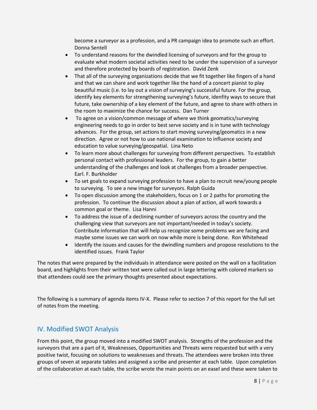become a surveyor as a profession, and a PR campaign idea to promote such an effort. Donna Sentell

- To understand reasons for the dwindled licensing of surveyors and for the group to evaluate what modern societal activities need to be under the supervision of a surveyor and therefore protected by boards of registration. David Zenk
- That all of the surveying organizations decide that we fit together like fingers of a hand and that we can share and work together like the hand of a concert pianist to play beautiful music (i.e. to lay out a vision of surveying's successful future. For the group, identify key elements for strengthening surveying's future, idenfity ways to secure that future, take ownership of a key element of the future, and agree to share with others in the room to maximize the chance for success. Dan Turner
- To agree on a vision/common message of where we think geomatics/surveying engineering needs to go in order to best serve society and is in tune with technology advances. For the group, set actions to start moving surveying/geomatics in a new direction. Agree or not how to use national examination to influence society and education to value surveying/geospatial. Lina Neto
- To learn more about challenges for surveying from different perspectives. To establish personal contact with professional leaders. For the group, to gain a better understanding of the challenges and look at challenges from a broader perspective. Earl. F. Burkholder
- To set goals to expand surveying profession to have a plan to recruit new/young people to surveying. To see a new image for surveyors. Ralph Guida
- To open discussion among the stakeholders, focus on 1 or 2 paths for promoting the profession. To continue the discussion about a plan of action, all work towards a common goal or theme. Lisa Hanni
- To address the issue of a declining number of surveyors across the country and the challenging view that surveyors are not important/needed in today's society. Contribute information that will help us recognize some problems we are facing and maybe some issues we can work on now while more is being done. Ron Whitehead
- Identify the issues and causes for the dwindling numbers and propose resolutions to the identified issues. Frank Taylor

The notes that were prepared by the individuals in attendance were posted on the wall on a facilitation board, and highlights from their written text were called out in large lettering with colored markers so that attendees could see the primary thoughts presented about expectations.

The following is a summary of agenda items IV-X. Please refer to section 7 of this report for the full set of notes from the meeting.

## IV. Modified SWOT Analysis

From this point, the group moved into a modified SWOT analysis. Strengths of the profession and the surveyors that are a part of it, Weaknesses, Opportunities and Threats were requested but with a very positive twist, focusing on solutions to weaknesses and threats. The attendees were broken into three groups of seven at separate tables and assigned a scribe and presenter at each table. Upon completion of the collaboration at each table, the scribe wrote the main points on an easel and these were taken to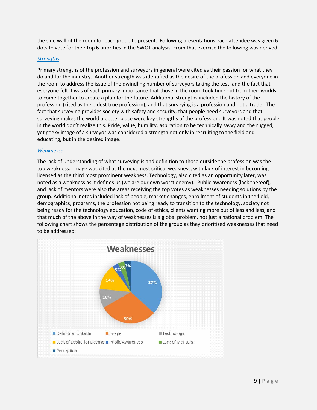the side wall of the room for each group to present. Following presentations each attendee was given 6 dots to vote for their top 6 priorities in the SWOT analysis. From that exercise the following was derived:

## *Strengths*

Primary strengths of the profession and surveyors in general were cited as their passion for what they do and for the industry. Another strength was identified as the desire of the profession and everyone in the room to address the issue of the dwindling number of surveyors taking the test, and the fact that everyone felt it was of such primary importance that those in the room took time out from their worlds to come together to create a plan for the future. Additional strengths included the history of the profession (cited as the oldest true profession), and that surveying is a profession and not a trade. The fact that surveying provides society with safety and security, that people need surveyors and that surveying makes the world a better place were key strengths of the profession. It was noted that people in the world don't realize this. Pride, value, humility, aspiration to be technically savvy and the rugged, yet geeky image of a surveyor was considered a strength not only in recruiting to the field and educating, but in the desired image.

## *Weaknesses*

The lack of understanding of what surveying is and definition to those outside the profession was the top weakness. Image was cited as the next most critical weakness, with lack of interest in becoming licensed as the third most prominent weakness. Technology, also cited as an opportunity later, was noted as a weakness as it defines us (we are our own worst enemy). Public awareness (lack thereof), and lack of mentors were also the areas receiving the top votes as weaknesses needing solutions by the group. Additional notes included lack of people, market changes, enrollment of students in the field, demographics, programs, the profession not being ready to transition to the technology, society not being ready for the technology education, code of ethics, clients wanting more out of less and less, and that much of the above in the way of weaknesses is a global problem, not just a national problem. The following chart shows the percentage distribution of the group as they prioritized weaknesses that need to be addressed:

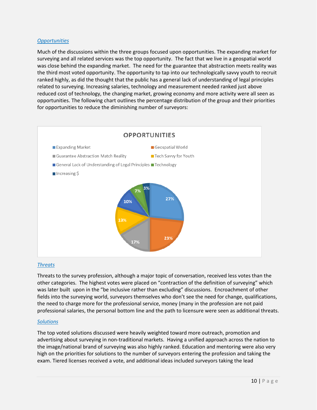## *Opportunities*

Much of the discussions within the three groups focused upon opportunities. The expanding market for surveying and all related services was the top opportunity. The fact that we live in a geospatial world was close behind the expanding market. The need for the guarantee that abstraction meets reality was the third most voted opportunity. The opportunity to tap into our technologically savvy youth to recruit ranked highly, as did the thought that the public has a general lack of understanding of legal principles related to surveying. Increasing salaries, technology and measurement needed ranked just above reduced cost of technology, the changing market, growing economy and more activity were all seen as opportunities. The following chart outlines the percentage distribution of the group and their priorities for opportunities to reduce the diminishing number of surveyors:



## *Threats*

Threats to the survey profession, although a major topic of conversation, received less votes than the other categories. The highest votes were placed on "contraction of the definition of surveying" which was later built upon in the "be inclusive rather than excluding" discussions. Encroachment of other fields into the surveying world, surveyors themselves who don't see the need for change, qualifications, the need to charge more for the professional service, money (many in the profession are not paid professional salaries, the personal bottom line and the path to licensure were seen as additional threats.

## *Solutions*

The top voted solutions discussed were heavily weighted toward more outreach, promotion and advertising about surveying in non-traditional markets. Having a unified approach across the nation to the image/national brand of surveying was also highly ranked. Education and mentoring were also very high on the priorities for solutions to the number of surveyors entering the profession and taking the exam. Tiered licenses received a vote, and additional ideas included surveyors taking the lead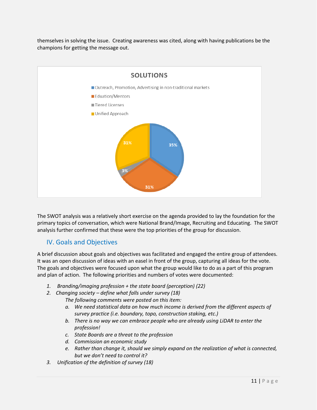themselves in solving the issue. Creating awareness was cited, along with having publications be the champions for getting the message out.



The SWOT analysis was a relatively short exercise on the agenda provided to lay the foundation for the primary topics of conversation, which were National Brand/Image, Recruiting and Educating. The SWOT analysis further confirmed that these were the top priorities of the group for discussion.

## IV. Goals and Objectives

A brief discussion about goals and objectives was facilitated and engaged the entire group of attendees. It was an open discussion of ideas with an easel in front of the group, capturing all ideas for the vote. The goals and objectives were focused upon what the group would like to do as a part of this program and plan of action. The following priorities and numbers of votes were documented:

- *1. Branding/imaging profession + the state board (perception) (22)*
- *2. Changing society – define what falls under survey (18)*

*The following comments were posted on this item:*

- *a. We need statistical data on how much income is derived from the different aspects of survey practice (i.e. boundary, topo, construction staking, etc.)*
- *b. There is no way we can embrace people who are already using LiDAR to enter the profession!*
- *c. State Boards are a threat to the profession*
- *d. Commission an economic study*
- *e. Rather than change it, should we simply expand on the realization of what is connected, but we don't need to control it?*
- *3. Unification of the definition of survey (18)*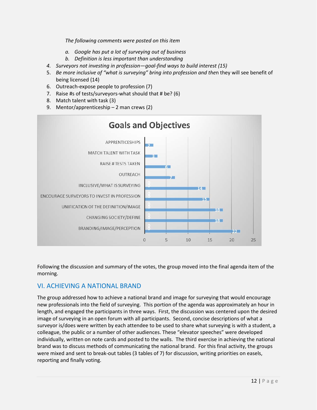*The following comments were posted on this item*

- *a. Google has put a lot of surveying out of business*
- *b. Definition is less important than understanding*
- *4. Surveyors not investing in profession—goal-find ways to build interest (15)*
- 5. *Be more inclusive of "what is surveying" bring into profession and the*n they will see benefit of being licensed (14)
- 6. Outreach-expose people to profession (7)
- 7. Raise #s of tests/surveyors-what should that # be? (6)
- 8. Match talent with task (3)
- 9. Mentor/apprenticeship 2 man crews (2)



Following the discussion and summary of the votes, the group moved into the final agenda item of the morning.

## VI. ACHIEVING A NATIONAL BRAND

The group addressed how to achieve a national brand and image for surveying that would encourage new professionals into the field of surveying. This portion of the agenda was approximately an hour in length, and engaged the participants in three ways. First, the discussion was centered upon the desired image of surveying in an open forum with all participants. Second, concise descriptions of what a surveyor is/does were written by each attendee to be used to share what surveying is with a student, a colleague, the public or a number of other audiences. These "elevator speeches" were developed individually, written on note cards and posted to the walls. The third exercise in achieving the national brand was to discuss methods of communicating the national brand. For this final activity, the groups were mixed and sent to break-out tables (3 tables of 7) for discussion, writing priorities on easels, reporting and finally voting.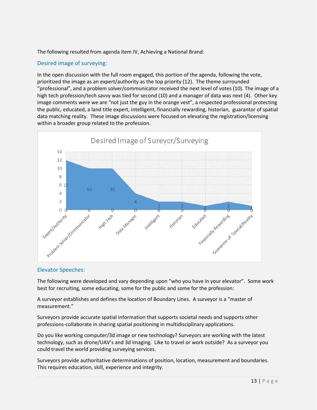The following resulted from agenda item IV, Achieving a National Brand:

## Desired image of surveying:

In the open discussion with the full room engaged, this portion of the agenda, following the vote, prioritized the image as an expert/authority as the top priority (12). The theme surrounded "professional", and a problem solver/communicator received the next level of votes (10). The image of a high tech profession/tech savvy was tied for second (10) and a manager of data was next (4). Other key image comments were we are "not just the guy in the orange vest", a respected professional protecting the public, educated, a land title expert, intelligent, financially rewarding, historian, guarantor of spatial data matching reality. These image discussions were focused on elevating the registration/licensing within a broader group related to the profession.



#### Elevator Speeches:

The following were developed and vary depending upon "who you have in your elevator". Some work best for recruiting, some educating, some for the public and some for the profession:

A surveyor establishes and defines the location of Boundary Lines. A surveyor is a "master of measurement."

Surveyors provide accurate spatial information that supports societal needs and supports other professions-collaborate in sharing spatial positioning in multidisciplinary applications.

Do you like working computer/3d image or new technology? Surveyors are working with the latest technology, such as drone/UAV's and 3d imaging. Like to travel or work outside? As a surveyor you could travel the world providing surveying services.

Surveyors provide authoritative determinations of position, location, measurement and boundaries. This requires education, skill, experience and integrity.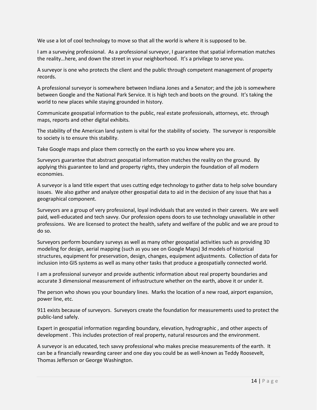We use a lot of cool technology to move so that all the world is where it is supposed to be.

I am a surveying professional. As a professional surveyor, I guarantee that spatial information matches the reality…here, and down the street in your neighborhood. It's a privilege to serve you.

A surveyor is one who protects the client and the public through competent management of property records.

A professional surveyor is somewhere between Indiana Jones and a Senator; and the job is somewhere between Google and the National Park Service. It is high tech and boots on the ground. It's taking the world to new places while staying grounded in history.

Communicate geospatial information to the public, real estate professionals, attorneys, etc. through maps, reports and other digital exhibits.

The stability of the American land system is vital for the stability of society. The surveyor is responsible to society is to ensure this stability.

Take Google maps and place them correctly on the earth so you know where you are.

Surveyors guarantee that abstract geospatial information matches the reality on the ground. By applying this guarantee to land and property rights, they underpin the foundation of all modern economies.

A surveyor is a land title expert that uses cutting edge technology to gather data to help solve boundary issues. We also gather and analyze other geospatial data to aid in the decision of any issue that has a geographical component.

Surveyors are a group of very professional, loyal individuals that are vested in their careers. We are well paid, well-educated and tech savvy. Our profession opens doors to use technology unavailable in other professions. We are licensed to protect the health, safety and welfare of the public and we are proud to do so.

Surveyors perform boundary surveys as well as many other geospatial activities such as providing 3D modeling for design, aerial mapping (such as you see on Google Maps) 3d models of historical structures, equipment for preservation, design, changes, equipment adjustments. Collection of data for inclusion into GIS systems as well as many other tasks that produce a geospatially connected world.

I am a professional surveyor and provide authentic information about real property boundaries and accurate 3 dimensional measurement of infrastructure whether on the earth, above it or under it.

The person who shows you your boundary lines. Marks the location of a new road, airport expansion, power line, etc.

911 exists because of surveyors. Surveyors create the foundation for measurements used to protect the public-land safely.

Expert in geospatial information regarding boundary, elevation, hydrographic , and other aspects of development . This includes protection of real property, natural resources and the environment.

A surveyor is an educated, tech savvy professional who makes precise measurements of the earth. It can be a financially rewarding career and one day you could be as well-known as Teddy Roosevelt, Thomas Jefferson or George Washington.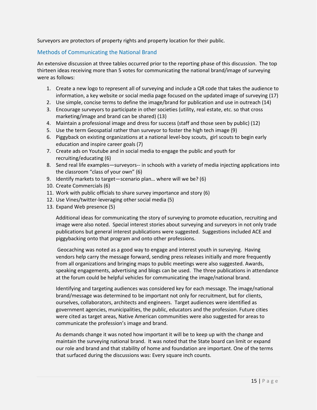Surveyors are protectors of property rights and property location for their public.

## Methods of Communicating the National Brand

An extensive discussion at three tables occurred prior to the reporting phase of this discussion. The top thirteen ideas receiving more than 5 votes for communicating the national brand/image of surveying were as follows:

- 1. Create a new logo to represent all of surveying and include a QR code that takes the audience to information, a key website or social media page focused on the updated image of surveying (17)
- 2. Use simple, concise terms to define the image/brand for publication and use in outreach (14)
- 3. Encourage surveyors to participate in other societies (utility, real estate, etc. so that cross marketing/image and brand can be shared) (13)
- 4. Maintain a professional image and dress for success (staff and those seen by public) (12)
- 5. Use the term Geospatial rather than surveyor to foster the high tech image (9)
- 6. Piggyback on existing organizations at a national level-boy scouts, girl scouts to begin early education and inspire career goals (7)
- 7. Create ads on Youtube and in social media to engage the public and youth for recruiting/educating (6)
- 8. Send real life examples—surveyors-- in schools with a variety of media injecting applications into the classroom "class of your own" (6)
- 9. Identify markets to target—scenario plan… where will we be? (6)
- 10. Create Commercials (6)
- 11. Work with public officials to share survey importance and story (6)
- 12. Use Vines/twitter-leveraging other social media (5)
- 13. Expand Web presence (5)

Additional ideas for communicating the story of surveying to promote education, recruiting and image were also noted. Special interest stories about surveying and surveyors in not only trade publications but general interest publications were suggested. Suggestions included ACE and piggybacking onto that program and onto other professions.

Geocaching was noted as a good way to engage and interest youth in surveying. Having vendors help carry the message forward, sending press releases initially and more frequently from all organizations and bringing maps to public meetings were also suggested. Awards, speaking engagements, advertising and blogs can be used. The three publications in attendance at the forum could be helpful vehicles for communicating the image/national brand.

Identifying and targeting audiences was considered key for each message. The image/national brand/message was determined to be important not only for recruitment, but for clients, ourselves, collaborators, architects and engineers. Target audiences were identified as government agencies, municipalities, the public, educators and the profession. Future cities were cited as target areas, Native American communities were also suggested for areas to communicate the profession's image and brand.

As demands change it was noted how important it will be to keep up with the change and maintain the surveying national brand. It was noted that the State board can limit or expand our role and brand and that stability of home and foundation are important. One of the terms that surfaced during the discussions was: Every square inch counts.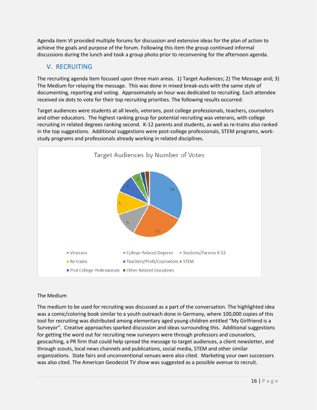Agenda item VI provided multiple forums for discussion and extensive ideas for the plan of action to achieve the goals and purpose of the forum. Following this item the group continued informal discussions during the lunch and took a group photo prior to reconvening for the afternoon agenda.

## V. RECRUITING

The recruiting agenda item focused upon three main areas. 1) Target Audiences; 2) The Message and; 3) The Medium for relaying the message. This was done in mixed break-outs with the same style of documenting, reporting and voting. Approximately an hour was dedicated to recruiting. Each attendee received six dots to vote for their top recruiting priorities. The following results occurred:

Target audiences were students at all levels, veterans, post college professionals, teachers, counselors and other educators. The highest ranking group for potential recruiting was veterans, with college recruiting in related degrees ranking second. K-12 parents and students, as well as re-trains also ranked in the top suggestions. Additional suggestions were post-college professionals, STEM programs, workstudy programs and professionals already working in related disciplines.



## The Medium

The medium to be used for recruiting was discussed as a part of the conversation. The highlighted idea was a comic/coloring book similar to a youth outreach done in Germany, where 100,000 copies of this tool for recruiting was distributed among elementary aged young children entitled "My Girlfriend is a Surveyor". Creative approaches sparked discussion and ideas surrounding this. Additional suggestions for getting the word out for recruiting new surveyors were through professors and counselors, geocaching, a PR firm that could help spread the message to target audiences, a client newsletter, and through scouts, local news channels and publications, social media, STEM and other similar organizations. State fairs and unconventional venues were also cited. Marketing your own successors was also cited. The American Geodesist TV show was suggested as a possible avenue to recruit.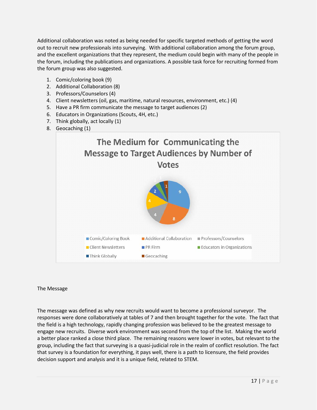Additional collaboration was noted as being needed for specific targeted methods of getting the word out to recruit new professionals into surveying. With additional collaboration among the forum group, and the excellent organizations that they represent, the medium could begin with many of the people in the forum, including the publications and organizations. A possible task force for recruiting formed from the forum group was also suggested.

- 1. Comic/coloring book (9)
- 2. Additional Collaboration (8)
- 3. Professors/Counselors (4)
- 4. Client newsletters (oil, gas, maritime, natural resources, environment, etc.) (4)
- 5. Have a PR firm communicate the message to target audiences (2)
- 6. Educators in Organizations (Scouts, 4H, etc.)
- 7. Think globally, act locally (1)
- 8. Geocaching (1)



## The Message

The message was defined as why new recruits would want to become a professional surveyor. The responses were done collaboratively at tables of 7 and then brought together for the vote. The fact that the field is a high technology, rapidly changing profession was believed to be the greatest message to engage new recruits. Diverse work environment was second from the top of the list. Making the world a better place ranked a close third place. The remaining reasons were lower in votes, but relevant to the group, including the fact that surveying is a quasi-judicial role in the realm of conflict resolution. The fact that survey is a foundation for everything, it pays well, there is a path to licensure, the field provides decision support and analysis and it is a unique field, related to STEM.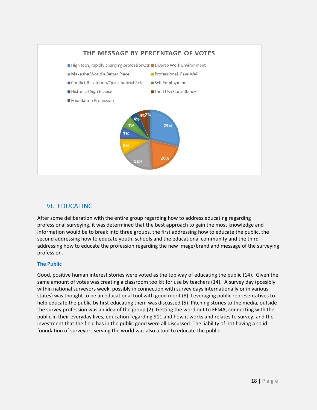

## VI. EDUCATING

After some deliberation with the entire group regarding how to address educating regarding professional surveying, it was determined that the best approach to gain the most knowledge and information would be to break into three groups, the first addressing how to educate the public, the second addressing how to educate youth, schools and the educational community and the third addressing how to educate the profession regarding the new image/brand and message of the surveying profession.

## **The Public**

Good, positive human interest stories were voted as the top way of educating the public (14). Given the same amount of votes was creating a classroom toolkit for use by teachers (14). A survey day (possibly within national surveyors week, possibly in connection with survey days internationally or in various states) was thought to be an educational tool with good merit (8). Leveraging public representatives to help educate the public by first educating them was discussed (5). Pitching stories to the media, outside the survey profession was an idea of the group (2). Getting the word out to FEMA, connecting with the public in their everyday lives, education regarding 911 and how it works and relates to survey, and the investment that the field has in the public good were all discussed. The liability of not having a solid foundation of surveyors serving the world was also a tool to educate the public.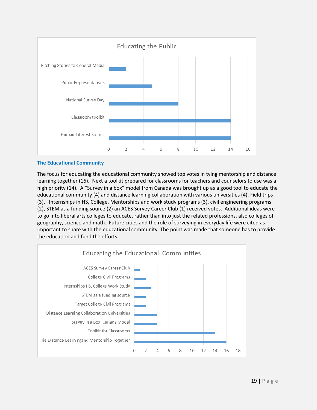

## **The Educational Community**

The focus for educating the educational community showed top votes in tying mentorship and distance learning together (16). Next a toolkit prepared for classrooms for teachers and counselors to use was a high priority (14). A "Survey in a box" model from Canada was brought up as a good tool to educate the educational community (4) and distance learning collaboration with various universities (4). Field trips (3), Internships in HS, College, Mentorships and work study programs (3), civil engineering programs (2), STEM as a funding source (2) an ACES Survey Career Club (1) received votes. Additional ideas were to go into liberal arts colleges to educate, rather than into just the related professions, also colleges of geography, science and math. Future cities and the role of surveying in everyday life were cited as important to share with the educational community. The point was made that someone has to provide the education and fund the efforts.

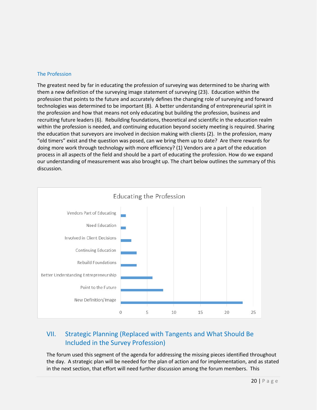## The Profession

The greatest need by far in educating the profession of surveying was determined to be sharing with them a new definition of the surveying image statement of surveying (23). Education within the profession that points to the future and accurately defines the changing role of surveying and forward technologies was determined to be important (8). A better understanding of entrepreneurial spirit in the profession and how that means not only educating but building the profession, business and recruiting future leaders (6). Rebuilding foundations, theoretical and scientific in the education realm within the profession is needed, and continuing education beyond society meeting is required. Sharing the education that surveyors are involved in decision making with clients (2). In the profession, many "old timers" exist and the question was posed, can we bring them up to date? Are there rewards for doing more work through technology with more efficiency? (1) Vendors are a part of the education process in all aspects of the field and should be a part of educating the profession. How do we expand our understanding of measurement was also brought up. The chart below outlines the summary of this discussion.



## VII. Strategic Planning (Replaced with Tangents and What Should Be Included in the Survey Profession)

The forum used this segment of the agenda for addressing the missing pieces identified throughout the day. A strategic plan will be needed for the plan of action and for implementation, and as stated in the next section, that effort will need further discussion among the forum members. This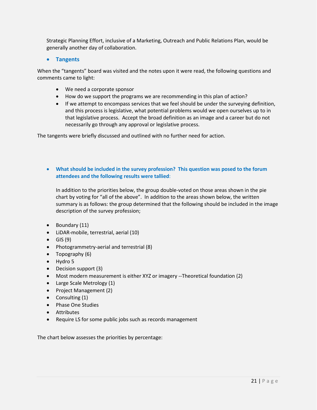Strategic Planning Effort, inclusive of a Marketing, Outreach and Public Relations Plan, would be generally another day of collaboration.

## • **Tangents**

When the "tangents" board was visited and the notes upon it were read, the following questions and comments came to light:

- We need a corporate sponsor
- How do we support the programs we are recommending in this plan of action?
- If we attempt to encompass services that we feel should be under the surveying definition, and this process is legislative, what potential problems would we open ourselves up to in that legislative process. Accept the broad definition as an image and a career but do not necessarily go through any approval or legislative process.

The tangents were briefly discussed and outlined with no further need for action.

## • **What should be included in the survey profession? This question was posed to the forum attendees and the following results were tallied**:

In addition to the priorities below, the group double-voted on those areas shown in the pie chart by voting for "all of the above". In addition to the areas shown below, the written summary is as follows: the group determined that the following should be included in the image description of the survey profession;

- Boundary (11)
- LiDAR-mobile, terrestrial, aerial (10)
- $\bullet$  GIS (9)
- Photogrammetry-aerial and terrestrial (8)
- Topography (6)
- Hydro 5
- Decision support (3)
- Most modern measurement is either XYZ or imagery --Theoretical foundation (2)
- Large Scale Metrology (1)
- Project Management (2)
- Consulting (1)
- Phase One Studies
- Attributes
- Require LS for some public jobs such as records management

The chart below assesses the priorities by percentage: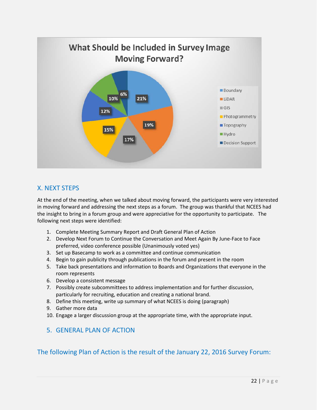

## X. NEXT STEPS

At the end of the meeting, when we talked about moving forward, the participants were very interested in moving forward and addressing the next steps as a forum. The group was thankful that NCEES had the insight to bring in a forum group and were appreciative for the opportunity to participate. The following next steps were identified:

- 1. Complete Meeting Summary Report and Draft General Plan of Action
- 2. Develop Next Forum to Continue the Conversation and Meet Again By June-Face to Face preferred, video conference possible (Unanimously voted yes)
- 3. Set up Basecamp to work as a committee and continue communication
- 4. Begin to gain publicity through publications in the forum and present in the room
- 5. Take back presentations and information to Boards and Organizations that everyone in the room represents
- 6. Develop a consistent message
- 7. Possibly create subcommittees to address implementation and for further discussion, particularly for recruiting, education and creating a national brand.
- 8. Define this meeting, write up summary of what NCEES is doing (paragraph)
- 9. Gather more data
- 10. Engage a larger discussion group at the appropriate time, with the appropriate input.

## 5. GENERAL PLAN OF ACTION

## The following Plan of Action is the result of the January 22, 2016 Survey Forum: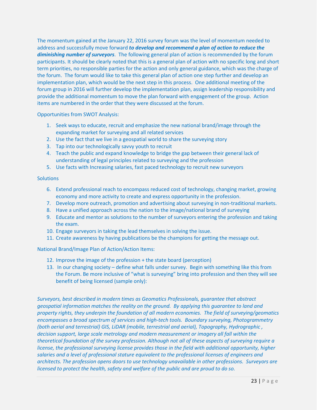The momentum gained at the January 22, 2016 survey forum was the level of momentum needed to address and successfully move forward *to develop and recommend a plan of action to reduce the diminishing number of surveyors*. The following general plan of action is recommended by the forum participants. It should be clearly noted that this is a general plan of action with no specific long and short term priorities, no responsible parties for the action and only general guidance, which was the charge of the forum. The forum would like to take this general plan of action one step further and develop an implementation plan, which would be the next step in this process. One additional meeting of the forum group in 2016 will further develop the implementation plan, assign leadership responsibility and provide the additional momentum to move the plan forward with engagement of the group. Action items are numbered in the order that they were discussed at the forum.

Opportunities from SWOT Analysis:

- 1. Seek ways to educate, recruit and emphasize the new national brand/image through the expanding market for surveying and all related services
- 2. Use the fact that we live in a geospatial world to share the surveying story
- 3. Tap into our technologically savvy youth to recruit
- 4. Teach the public and expand knowledge to bridge the gap between their general lack of understanding of legal principles related to surveying and the profession
- 5. Use facts with Increasing salaries, fast paced technology to recruit new surveyors

## **Solutions**

- 6. Extend professional reach to encompass reduced cost of technology, changing market, growing economy and more activity to create and express opportunity in the profession.
- 7. Develop more outreach, promotion and advertising about surveying in non-traditional markets.
- 8. Have a unified approach across the nation to the image/national brand of surveying
- 9. Educate and mentor as solutions to the number of surveyors entering the profession and taking the exam.
- 10. Engage surveyors in taking the lead themselves in solving the issue.
- 11. Create awareness by having publications be the champions for getting the message out.

National Brand/Image Plan of Action/Action Items:

- 12. Improve the image of the profession + the state board (perception)
- 13. In our changing society define what falls under survey. Begin with something like this from the Forum. Be more inclusive of "what is surveying" bring into profession and then they will see benefit of being licensed (sample only):

*Surveyors, best described in modern times as Geomatics Professionals, guarantee that abstract geospatial information matches the reality on the ground. By applying this guarantee to land and property rights, they underpin the foundation of all modern economies. The field of surveying/geomatics encompasses a broad spectrum of services and high-tech tools. Boundary surveying, Photogrammetry (both aerial and terrestrial) GIS, LiDAR (mobile, terrestrial and aerial), Topography, Hydrographic , decision support, large scale metrology and modern measurement or imagery all fall within the theoretical foundation of the survey profession. Although not all of these aspects of surveying require a license, the professional surveying license provides those in the field with additional opportunity, higher salaries and a level of professional stature equivalent to the professional licenses of engineers and architects. The profession opens doors to use technology unavailable in other professions. Surveyors are licensed to protect the health, safety and welfare of the public and are proud to do so.*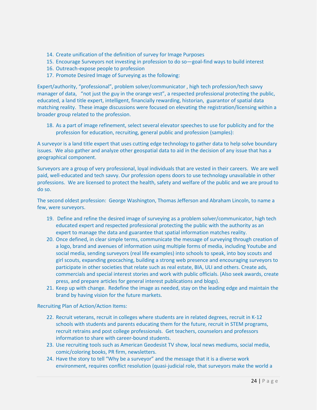- 14. Create unification of the definition of survey for Image Purposes
- 15. Encourage Surveyors not investing in profession to do so—goal-find ways to build interest
- 16. Outreach-expose people to profession
- 17. Promote Desired Image of Surveying as the following:

Expert/authority, "professional", problem solver/communicator , high tech profession/tech savvy manager of data, "not just the guy in the orange vest", a respected professional protecting the public, educated, a land title expert, intelligent, financially rewarding, historian, guarantor of spatial data matching reality. These image discussions were focused on elevating the registration/licensing within a broader group related to the profession.

18. As a part of image refinement, select several elevator speeches to use for publicity and for the profession for education, recruiting, general public and profession (samples):

A surveyor is a land title expert that uses cutting edge technology to gather data to help solve boundary issues. We also gather and analyze other geospatial data to aid in the decision of any issue that has a geographical component.

Surveyors are a group of very professional, loyal individuals that are vested in their careers. We are well paid, well-educated and tech savvy. Our profession opens doors to use technology unavailable in other professions. We are licensed to protect the health, safety and welfare of the public and we are proud to do so.

The second oldest profession: George Washington, Thomas Jefferson and Abraham Lincoln, to name a few, were surveyors.

- 19. Define and refine the desired image of surveying as a problem solver/communicator, high tech educated expert and respected professional protecting the public with the authority as an expert to manage the data and guarantee that spatial information matches reality.
- 20. Once defined, in clear simple terms, communicate the message of surveying through creation of a logo, brand and avenues of information using multiple forms of media, including Youtube and social media, sending surveyors (real life examples) into schools to speak, into boy scouts and girl scouts, expanding geocaching, building a strong web presence and encouraging surveyors to participate in other societies that relate such as real estate, BIA, ULI and others. Create ads, commercials and special interest stories and work with public officials. (Also seek awards, create press, and prepare articles for general interest publications and blogs).
- 21. Keep up with change. Redefine the image as needed, stay on the leading edge and maintain the brand by having vision for the future markets.

Recruiting Plan of Action/Action Items:

- 22. Recruit veterans, recruit in colleges where students are in related degrees, recruit in K-12 schools with students and parents educating them for the future, recruit in STEM programs, recruit retrains and post college professionals. Get teachers, counselors and professors information to share with career-bound students.
- 23. Use recruiting tools such as American Geodesist TV show, local news mediums, social media, comic/coloring books, PR firm, newsletters.
- 24. Have the story to tell "Why be a surveyor" and the message that it is a diverse work environment, requires conflict resolution (quasi-judicial role, that surveyors make the world a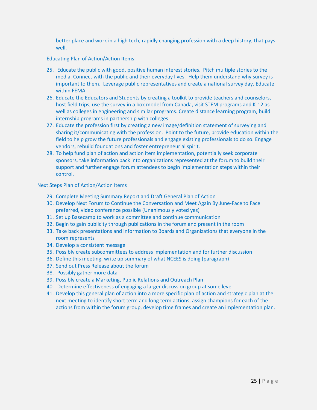better place and work in a high tech, rapidly changing profession with a deep history, that pays well.

Educating Plan of Action/Action Items:

- 25. Educate the public with good, positive human interest stories. Pitch multiple stories to the media. Connect with the public and their everyday lives. Help them understand why survey is important to them. Leverage public representatives and create a national survey day. Educate within FEMA
- 26. Educate the Educators and Students by creating a toolkit to provide teachers and counselors, host field trips, use the survey in a box model from Canada, visit STEM programs and K-12 as well as colleges in engineering and similar programs. Create distance learning program, build internship programs in partnership with colleges.
- 27. Educate the profession first by creating a new image/definition statement of surveying and sharing it/communicating with the profession. Point to the future, provide education within the field to help grow the future professionals and engage existing professionals to do so. Engage vendors, rebuild foundations and foster entrepreneurial spirit.
- 28. To help fund plan of action and action item implementation, potentially seek corporate sponsors, take information back into organizations represented at the forum to build their support and further engage forum attendees to begin implementation steps within their control.

Next Steps Plan of Action/Action Items

- 29. Complete Meeting Summary Report and Draft General Plan of Action
- 30. Develop Next Forum to Continue the Conversation and Meet Again By June-Face to Face preferred, video conference possible (Unanimously voted yes)
- 31. Set up Basecamp to work as a committee and continue communication
- 32. Begin to gain publicity through publications in the forum and present in the room
- 33. Take back presentations and information to Boards and Organizations that everyone in the room represents
- 34. Develop a consistent message
- 35. Possibly create subcommittees to address implementation and for further discussion
- 36. Define this meeting, write up summary of what NCEES is doing (paragraph)
- 37. Send out Press Release about the forum
- 38. Possibly gather more data
- 39. Possibly create a Marketing, Public Relations and Outreach Plan
- 40. Determine effectiveness of engaging a larger discussion group at some level
- 41. Develop this general plan of action into a more specific plan of action and strategic plan at the next meeting to identify short term and long term actions, assign champions for each of the actions from within the forum group, develop time frames and create an implementation plan.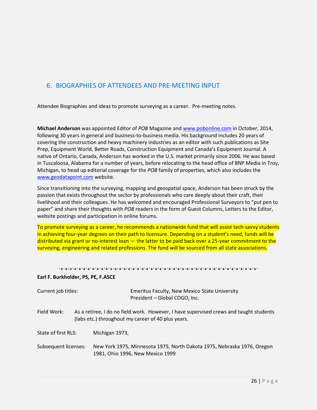## 6. BIOGRAPHIES OF ATTENDEES AND PRE-MEETING INPUT

Attendee Biographies and ideas to promote surveying as a career. Pre-meeting notes.

**Michael Anderson** was appointed Editor of *POB* Magazine an[d www.pobonline.com](http://www.pobonline.com/) in October, 2014, following 30 years in general and business-to-business media. His background includes 20 years of covering the construction and heavy machinery industries as an editor with such publications as Site Prep, Equipment World, Better Roads, Construction Equipment and Canada's Equipment Journal. A native of Ontario, Canada, Anderson has worked in the U.S. market primarily since 2006. He was based in Tuscaloosa, Alabama for a number of years, before relocating to the head office of BNP Media in Troy, Michigan, to head up editorial coverage for the *POB* family of properties, which also includes the [www.geodatapoint.com](http://www.geodatapoint.com/) website.

Since transitioning into the surveying, mapping and geospatial space, Anderson has been struck by the passion that exists throughout the sector by professionals who care deeply about their craft, their livelihood and their colleagues. He has welcomed and encouraged Professional Surveyors to "put pen to paper" and share their thoughts with *POB* readers in the form of Guest Columns, Letters to the Editor, website postings and participation in online forums.

To promote surveying as a career, he recommends a nationwide fund that will assist tech-savvy students in achieving four-year degrees on their path to licensure. Depending on a student's need, funds will be distributed via grant or no-interest loan — the latter to be paid back over a 25-year commitment to the surveying, engineering and related professions. The fund will be sourced from all state associations.

#### `\*`\*`\*`\*`\*`\*`\*`\*`\*`\*`\*`\*`\*`\*`\*`\*`\*`\*`\*`\*`\*`\*`\*`\*`\*`\*`\*`\*`\*`\*`\*`\*`\*`\*`\*`\*`\*`\*`\*`\*`\*`\*`\*`\*`

#### **Earl F. Burkholder, PS, PE, F.ASCE**

| Current job titles:  |  | Emeritus Faculty, New Mexico State University<br>President - Global COGO, Inc.                                                               |  |  |
|----------------------|--|----------------------------------------------------------------------------------------------------------------------------------------------|--|--|
| Field Work:          |  | As a retiree, I do no field work. However, I have supervised crews and taught students<br>(labs etc.) throughout my career of 40 plus years. |  |  |
| State of first RLS:  |  | Michigan 1973,                                                                                                                               |  |  |
| Subsequent licenses: |  | New York 1975, Minnesota 1975, North Dakota 1975, Nebraska 1976, Oregon<br>1981, Ohio 1996, New Mexico 1999                                  |  |  |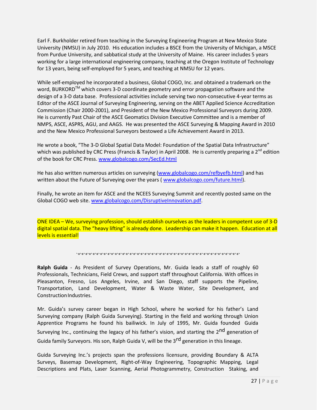Earl F. Burkholder retired from teaching in the Surveying Engineering Program at New Mexico State University (NMSU) in July 2010. His education includes a BSCE from the University of Michigan, a MSCE from Purdue University, and sabbatical study at the University of Maine. His career includes 5 years working for a large international engineering company, teaching at the Oregon Institute of Technology for 13 years, being self-employed for 5 years, and teaching at NMSU for 12 years.

While self-employed he incorporated a business, Global COGO, Inc. and obtained a trademark on the word, BURKORD<sup>TM</sup> which covers 3-D coordinate geometry and error propagation software and the design of a 3-D data base. Professional activities include serving two non-consecutive 4-year terms as Editor of the ASCE Journal of Surveying Engineering, serving on the ABET Applied Science Accreditation Commission (Chair 2000-2001), and President of the New Mexico Professional Surveyors during 2009. He is currently Past Chair of the ASCE Geomatics Division Executive Committee and is a member of NMPS, ASCE, ASPRS, AGU, and AAGS. He was presented the ASCE Surveying & Mapping Award in 2010 and the New Mexico Professional Surveyors bestowed a Life Achievement Award in 2013.

He wrote a book, "The 3-D Global Spatial Data Model: Foundation of the Spatial Data Infrastructure" which was published by CRC Press (Francis & Taylor) in April 2008. He is currently preparing a  $2^{nd}$  edition of the book for CRC Press[. www.globalcogo.com/SecEd.html](http://www.globalcogo.com/SecEd.html)

He has also written numerous articles on surveying [\(www.globalcogo.com/refbyefb.html\)](http://www.globalcogo.com/refbyefb.html) and has written about the Future of Surveying over the years [\( www.globalcogo.com/future.html\)](http://www.globalcogo.com/future.html).

Finally, he wrote an item for ASCE and the NCEES Surveying Summit and recently posted same on the Global COGO web site. [www.globalcogo.com/DisruptiveInnovation.pdf.](http://www.globalcogo.com/DisruptiveInnovation.pdf)

ONE IDEA – We, surveying profession, should establish ourselves as the leaders in competent use of 3-D digital spatial data. The "heavy lifting" is already done. Leadership can make it happen. Education at all levels is essential!

`\*`\*`\*`\*`\*`\*`\*`\*`\*`\*`\*`\*`\*`\*`\*`\*`\*`\*`\*`\*`\*`\*`\*`\*`\*`\*`\*`\*`\*`\*`\*`\*`\*`\*`\*`\*`\*`\*`\*`\*`\*`\*`\*`\*`

**Ralph Guida** - As President of Survey Operations, Mr. Guida leads a staff of roughly 60 Professionals, Technicians, Field Crews, and support staff throughout California. With offices in Pleasanton, Fresno, Los Angeles, Irvine, and San Diego, staff supports the Pipeline, Transportation, Land Development, Water & Waste Water, Site Development, and Construction Industries.

Mr. Guida's survey career began in High School, where he worked for his father's Land Surveying company (Ralph Guida Surveying). Starting in the field and working through Union Apprentice Programs he found his bailiwick. In July of 1995, Mr. Guida founded Guida Surveying Inc., continuing the legacy of his father's vision, and starting the 2<sup>nd</sup> generation of Guida family Surveyors. His son, Ralph Guida V, will be the  $3^{rd}$  generation in this lineage.

Guida Surveying Inc.'s projects span the professions licensure, providing Boundary & ALTA Surveys, Basemap Development, Right-of-Way Engineering, Topographic Mapping, Legal Descriptions and Plats, Laser Scanning, Aerial Photogrammetry, Construction Staking, and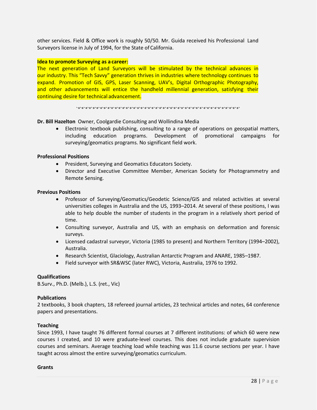other services. Field & Office work is roughly 50/50. Mr. Guida received his Professional Land Surveyors license in July of 1994, for the State of California.

#### **Idea to promote Surveying as a career:**

The next generation of Land Surveyors will be stimulated by the technical advances in our industry. This "Tech Savvy" generation thrives in industries where technology continues to expand. Promotion of GIS, GPS, Laser Scanning, UAV's, Digital Orthographic Photography, and other advancements will entice the handheld millennial generation, satisfying their continuing desire for technical advancement.

`\*`\*`\*`\*`\*`\*`\*`\*`\*`\*`\*`\*`\*`\*`\*`\*`\*`\*`\*`\*`\*`\*`\*`\*`\*`\*`\*`\*`\*`\*`\*`\*`\*`\*`\*`\*`\*`\*`\*`\*`\*`\*`\*`\*`

## **Dr. Bill Hazelton** Owner, Coolgardie Consulting and Wollindina Media

• Electronic textbook publishing, consulting to a range of operations on geospatial matters, including education programs. Development of promotional campaigns for surveying/geomatics programs. No significant field work.

## **Professional Positions**

- President, Surveying and Geomatics Educators Society.
- Director and Executive Committee Member, American Society for Photogrammetry and Remote Sensing.

#### **Previous Positions**

- Professor of Surveying/Geomatics/Geodetic Science/GIS and related activities at several universities colleges in Australia and the US, 1993–2014. At several of these positions, I was able to help double the number of students in the program in a relatively short period of time.
- Consulting surveyor, Australia and US, with an emphasis on deformation and forensic surveys.
- Licensed cadastral surveyor, Victoria (1985 to present) and Northern Territory (1994–2002), Australia.
- Research Scientist, Glaciology, Australian Antarctic Program and ANARE, 1985–1987.
- Field surveyor with SR&WSC (later RWC), Victoria, Australia, 1976 to 1992.

#### **Qualifications**

B.Surv., Ph.D. (Melb.), L.S. (ret., Vic)

#### **Publications**

2 textbooks, 3 book chapters, 18 refereed journal articles, 23 technical articles and notes, 64 conference papers and presentations.

#### **Teaching**

Since 1993, I have taught 76 different formal courses at 7 different institutions: of which 60 were new courses I created, and 10 were graduate-level courses. This does not include graduate supervision courses and seminars. Average teaching load while teaching was 11.6 course sections per year. I have taught across almost the entire surveying/geomatics curriculum.

**Grants**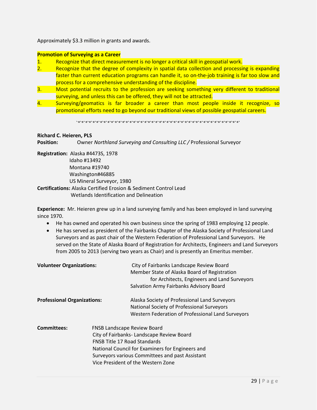Approximately \$3.3 million in grants and awards.

## **Promotion of Surveying as a Career**

- 1. Recognize that direct measurement is no longer a critical skill in geospatial work.
- 2. Recognize that the degree of complexity in spatial data collection and processing is expanding faster than current education programs can handle it, so on-the-job training is far too slow and process for a comprehensive understanding of the discipline.
- 3. Most potential recruits to the profession are seeking something very different to traditional surveying, and unless this can be offered, they will not be attracted.
- 4. Surveying/geomatics is far broader a career than most people inside it recognize, so promotional efforts need to go beyond our traditional views of possible geospatial careers.

`\*`\*`\*`\*`\*`\*`\*`\*`\*`\*`\*`\*`\*`\*`\*`\*`\*`\*`\*`\*`\*`\*`\*`\*`\*`\*`\*`\*`\*`\*`\*`\*`\*`\*`\*`\*`\*`\*`\*`\*`\*`\*`\*`\*`

## **Richard C. Heieren, PLS**

**Position:** Owner *Northland Surveying and Consulting LLC /* Professional Surveyor

**Registration:** Alaska #4473S, 1978 Idaho #13492

 Montana #19740 Washington#46885

US Mineral Surveyor, 1980

**Certifications:** Alaska Certified Erosion & Sediment Control Lead Wetlands Identification and Delineation

**Experience:** Mr. Heieren grew up in a land surveying family and has been employed in land surveying since 1970.

- He has owned and operated his own business since the spring of 1983 employing 12 people.
- He has served as president of the Fairbanks Chapter of the Alaska Society of Professional Land Surveyors and as past chair of the Western Federation of Professional Land Surveyors. He served on the State of Alaska Board of Registration for Architects, Engineers and Land Surveyors from 2005 to 2013 (serving two years as Chair) and is presently an Emeritus member.

| <b>Volunteer Organizations:</b>    |                                                                           | City of Fairbanks Landscape Review Board<br>Member State of Alaska Board of Registration<br>for Architects, Engineers and Land Surveyors<br>Salvation Army Fairbanks Advisory Board    |
|------------------------------------|---------------------------------------------------------------------------|----------------------------------------------------------------------------------------------------------------------------------------------------------------------------------------|
| <b>Professional Organizations:</b> |                                                                           | Alaska Society of Professional Land Surveyors<br>National Society of Professional Surveyors<br>Western Federation of Professional Land Surveyors                                       |
| <b>Committees:</b>                 | <b>FNSB Landscape Review Board</b><br><b>FNSB Title 17 Road Standards</b> | City of Fairbanks- Landscape Review Board<br>National Council for Examiners for Engineers and<br>Surveyors various Committees and past Assistant<br>Vice President of the Western Zone |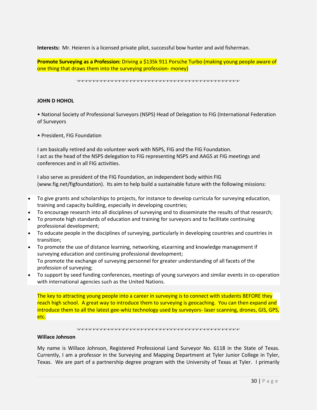**Interests:** Mr. Heieren is a licensed private pilot, successful bow hunter and avid fisherman.

**Promote Surveying as a Profession:** Driving a \$135k 911 Porsche Turbo (making young people aware of one thing that draws them into the surveying profession- money)

`\*`\*`\*`\*`\*`\*`\*`\*`\*`\*`\*`\*`\*`\*`\*`\*`\*`\*`\*`\*`\*`\*`\*`\*`\*`\*`\*`\*`\*`\*`\*`\*`\*`\*`\*`\*`\*`\*`\*`\*`\*`\*`\*`\*`

#### **JOHN D HOHOL**

• National Society of Professional Surveyors (NSPS) Head of Delegation to FIG (International Federation of Surveyors

• President, FIG Foundation

I am basically retired and do volunteer work with NSPS, FIG and the FIG Foundation. I act as the head of the NSPS delegation to FIG representing NSPS and AAGS at FIG meetings and conferences and in all FIG activities.

I also serve as president of the FIG Foundation, an independent body within FIG (www.fig.net/figfoundation). Its aim to help build a sustainable future with the following missions:

- To give grants and scholarships to projects, for instance to develop curricula for surveying education, training and capacity building, especially in developing countries;
- To encourage research into all disciplines of surveying and to disseminate the results of that research;
- To promote high standards of education and training for surveyors and to facilitate continuing professional development;
- To educate people in the disciplines of surveying, particularly in developing countries and countries in transition;
- To promote the use of distance learning, networking, eLearning and knowledge management if surveying education and continuing professional development; To promote the exchange of surveying personnel for greater understanding of all facets of the profession of surveying;
- To support by seed funding conferences, meetings of young surveyors and similar events in co-operation with international agencies such as the United Nations.

The key to attracting young people into a career in surveying is to connect with students BEFORE they reach high school. A great way to introduce them to surveying is geocaching. You can then expand and introduce them to all the latest gee-whiz technology used by surveyors- laser scanning, drones, GIS, GPS, etc.

#### `\*`\*`\*`\*`\*`\*`\*`\*`\*`\*`\*`\*`\*`\*`\*`\*`\*`\*`\*`\*`\*`\*`\*`\*`\*`\*`\*`\*`\*`\*`\*`\*`\*`\*`\*`\*`\*`\*`\*`\*`\*`\*`\*`\*`

#### **Willace Johnson**

My name is Willace Johnson, Registered Professional Land Surveyor No. 6118 in the State of Texas. Currently, I am a professor in the Surveying and Mapping Department at Tyler Junior College in Tyler, Texas. We are part of a partnership degree program with the University of Texas at Tyler. I primarily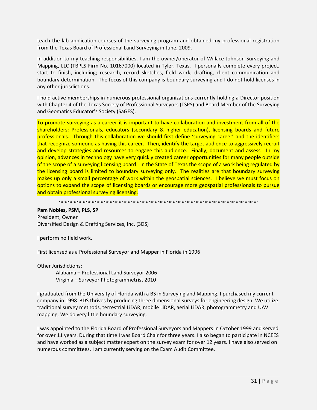teach the lab application courses of the surveying program and obtained my professional registration from the Texas Board of Professional Land Surveying in June, 2009.

In addition to my teaching responsibilities, I am the owner/operator of Willace Johnson Surveying and Mapping, LLC (TBPLS Firm No. 10167000) located in Tyler, Texas. I personally complete every project, start to finish, including; research, record sketches, field work, drafting, client communication and boundary determination. The focus of this company is boundary surveying and I do not hold licenses in any other jurisdictions.

I hold active memberships in numerous professional organizations currently holding a Director position with Chapter 4 of the Texas Society of Professional Surveyors (TSPS) and Board Member of the Surveying and Geomatics Educator's Society (SaGES).

To promote surveying as a career it is important to have collaboration and investment from all of the shareholders; Professionals, educators (secondary & higher education), licensing boards and future professionals. Through this collaboration we should first define 'surveying career' and the identifiers that recognize someone as having this career. Then, identify the target audience to aggressively recruit and develop strategies and resources to engage this audience. Finally, document and assess. In my opinion, advances in technology have very quickly created career opportunities for many people outside of the scope of a surveying licensing board. In the State of Texas the scope of a work being regulated by the licensing board is limited to boundary surveying only. The realities are that boundary surveying makes up only a small percentage of work within the geospatial sciences. I believe we must focus on options to expand the scope of licensing boards or encourage more geospatial professionals to pursue and obtain professional surveying licensing.

`\*`\*`\*`\*`\*`\*`\*`\*`\*`\*`\*`\*`\*`\*`\*`\*`\*`\*`\*`\*`\*`\*`\*`\*`\*`\*`\*`\*`\*`\*`\*`\*`\*`\*`\*`\*`\*`\*`\*`\*`\*`\*`\*`\*`

#### **Pam Nobles, PSM, PLS, SP**

President, Owner Diversified Design & Drafting Services, Inc. (3DS)

I perform no field work.

First licensed as a Professional Surveyor and Mapper in Florida in 1996

Other Jurisdictions:

Alabama – Professional Land Surveyor 2006 Virginia – Surveyor Photogrammetrist 2010

I graduated from the University of Florida with a BS in Surveying and Mapping. I purchased my current company in 1998. 3DS thrives by producing three dimensional surveys for engineering design. We utilize traditional survey methods, terrestrial LiDAR, mobile LiDAR, aerial LiDAR, photogrammetry and UAV mapping. We do very little boundary surveying.

I was appointed to the Florida Board of Professional Surveyors and Mappers in October 1999 and served for over 11 years. During that time I was Board Chair for three years. I also began to participate in NCEES and have worked as a subject matter expert on the survey exam for over 12 years. I have also served on numerous committees. I am currently serving on the Exam Audit Committee.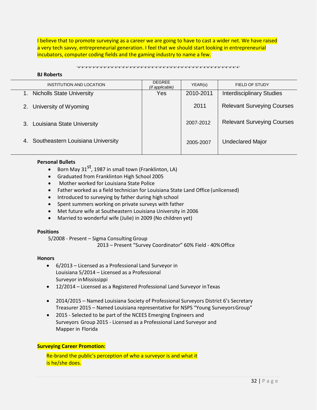I believe that to promote surveying as a career we are going to have to cast a wider net. We have raised a very tech savvy, entrepreneurial generation. I feel that we should start looking in entrepreneurial incubators, computer coding fields and the gaming industry to name a few.

#### `\*`\*`\*`\*`\*`\*`\*`\*`\*`\*`\*`\*`\*`\*`\*`\*`\*`\*`\*`\*`\*`\*`\*`\*`\*`\*`\*`\*`\*`\*`\*`\*`\*`\*`\*`\*`\*`\*`\*`\*`\*`\*`\*`\*`

#### **BJ Roberts**

| INSTITUTION AND LOCATION             | <b>DEGREE</b><br>(if applicable) | YEAR(s)   | FIELD OF STUDY                    |
|--------------------------------------|----------------------------------|-----------|-----------------------------------|
| <b>Nicholls State University</b>     | Yes                              | 2010-2011 | <b>Interdisciplinary Studies</b>  |
| University of Wyoming<br>2.          |                                  | 2011      | <b>Relevant Surveying Courses</b> |
| 3. Louisiana State University        |                                  | 2007-2012 | <b>Relevant Surveying Courses</b> |
| 4. Southeastern Louisiana University |                                  | 2005-2007 | <b>Undeclared Major</b>           |
|                                      |                                  |           |                                   |

#### **Personal Bullets**

- Born May 31<sup>st</sup>, 1987 in small town (Franklinton, LA)
- Graduated from Franklinton High School 2005
- Mother worked for Louisiana State Police
- Father worked as a field technician for Louisiana State Land Office (unlicensed)
- Introduced to surveying by father during high school
- Spent summers working on private surveys with father
- Met future wife at Southeastern Louisiana University in 2006
- Married to wonderful wife (Julie) in 2009 (No children yet)

#### **Positions**

5/2008 - Present – Sigma Consulting Group

2013 – Present "Survey Coordinator" 60% Field - 40%Office

#### **Honors**

- 6/2013 Licensed as a Professional Land Surveyor in Louisiana 5/2014 – Licensed as a Professional Surveyor inMississippi
- 12/2014 Licensed as a Registered Professional Land Surveyor inTexas
- 2014/2015 Named Louisiana Society of Professional Surveyors District 6's Secretary Treasurer 2015 – Named Louisiana representative for NSPS "Young SurveyorsGroup"
- 2015 Selected to be part of the NCEES Emerging Engineers and Surveyors Group 2015 - Licensed as a Professional Land Surveyor and Mapper in Florida

## **Surveying Career Promotion:**

Re-brand the public's perception of who a surveyor is and what it is he/she does.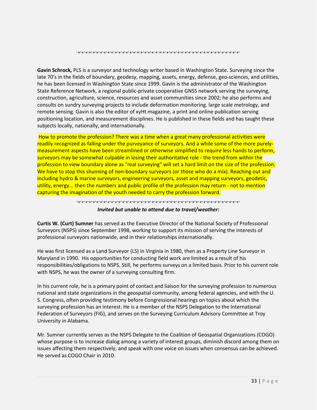`\*`\*`\*`\*`\*`\*`\*`\*`\*`\*`\*`\*`\*`\*`\*`\*`\*`\*`\*`\*`\*`\*`\*`\*`\*`\*`\*`\*`\*`\*`\*`\*`\*`\*`\*`\*`\*`\*`\*`\*`\*`\*`\*`\*`

**Gavin Schrock,** PLS is a surveyor and technology writer based in Washington State. Surveying since the late 70's in the fields of boundary, geodesy, mapping, assets, energy, defense, geo-sciences, and utilities, he has been licensed in Washington State since 1999. Gavin is the administrator of the Washington State Reference Network, a regional public-private cooperative GNSS network serving the surveying, construction, agriculture, science, resources and asset communities since 2002; he also performs and consults on sundry surveying projects to include deformation monitoring. large scale metrology, and remote sensing. Gavin is also the editor of xyHt magazine, a print and online publication serving positioning location, and measurement disciplines. He is published in these fields and has taught these subjects locally, nationally, and internationally.

How to promote the profession? There was a time when a great many professional activities were readily recognized as falling under the purveyance of surveyors. And a while some of the more purelymeasurement aspects have been streamlined or otherwise simplified to require less hands to perform, surveyors may be somewhat culpable in losing their authoritative role - the trend from within the profession to view boundary alone as "real surveying" will set a hard limit on the size of the profession. We have to stop this shunning of non-boundary surveyors (or those who do a mix). Reaching out and including hydro & marine surveyors, engineering surveyors, asset and mapping surveyors, geodetic, utility, energy... then the numbers and public profile of the profession may return - not to mention capturing the imagination of the youth needed to carry the profession forward.

## `\*`\*`\*`\*`\*`\*`\*`\*`\*`\*`\*`\*`\*`\*`\*`\*`\*`\*`\*`\*`\*`\*`\*`\*`\*`\*`\*`\*`\*`\*`\*`\*`\*`\*`\*`\*`\*`\*`\*`\*`\*`\*`\*`\*` *Invited but unable to attend due to travel/weather:*

**Curtis W. (Curt) Sumner** has served as the Executive Director of the National Society of Professional Surveyors (NSPS) since September 1998, working to support its mission of serving the interests of professional surveyors nationwide, and in their relationships internationally.

He was first licensed as a Land Surveyor (LS) in Virginia in 1980, then as a Property Line Surveyor in Maryland in 1990. His opportunities for conducting field work are limited as a result of his responsibilities/obligations to NSPS. Still, he performs surveys on a limited basis. Prior to his current role with NSPS, he was the owner of a surveying consulting firm.

In his current role, he is a primary point of contact and liaison for the surveying profession to numerous national and state organizations in the geospatial community, among federal agencies, and with the U. S. Congress, often providing testimony before Congressional hearings on topics about which the surveying profession has an interest. He is a member of the NSPS Delegation to the International Federation of Surveyors (FIG), and serves on the Surveying Curriculum Advisory Committee at Troy University in Alabama.

Mr. Sumner currently serves as the NSPS Delegate to the Coalition of Geospatial Organizations (COGO) whose purpose is to increase dialog among a variety of interest groups, diminish discord among them on issues affecting them respectively, and speak with one voice on issues when consensus can be achieved. He served as COGO Chair in 2010.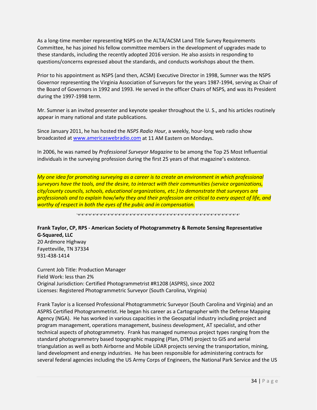As a long-time member representing NSPS on the ALTA/ACSM Land Title Survey Requirements Committee, he has joined his fellow committee members in the development of upgrades made to these standards, including the recently adopted 2016 version. He also assists in responding to questions/concerns expressed about the standards, and conducts workshops about the them.

Prior to his appointment as NSPS (and then, ACSM) Executive Director in 1998, Sumner was the NSPS Governor representing the Virginia Association of Surveyors for the years 1987-1994, serving as Chair of the Board of Governors in 1992 and 1993. He served in the officer Chairs of NSPS, and was its President during the 1997-1998 term.

Mr. Sumner is an invited presenter and keynote speaker throughout the U. S., and his articles routinely appear in many national and state publications.

Since January 2011, he has hosted the *NSPS Radio Hour*, a weekly, hour-long web radio show broadcasted a[t www.americaswebradio.com](http://www.americaswebradio.com/) at 11 AM Eastern on Mondays.

In 2006, he was named by *Professional Surveyor Magazine* to be among the Top 25 Most Influential individuals in the surveying profession during the first 25 years of that magazine's existence.

*My one idea for promoting surveying as a career is to create an environment in which professional surveyors have the tools, and the desire, to interact with their communities (service organizations, city/county councils, schools, educational organizations, etc.) to demonstrate that surveyors are professionals and to explain how/why they and their profession are critical to every aspect of life, and worthy of respect in both the eyes of the pubic and in compensation.*

`\*`\*`\*`\*`\*`\*`\*`\*`\*`\*`\*`\*`\*`\*`\*`\*`\*`\*`\*`\*`\*`\*`\*`\*`\*`\*`\*`\*`\*`\*`\*`\*`\*`\*`\*`\*`\*`\*`\*`\*`\*`\*`\*`\*`

## **Frank Taylor, CP, RPS - American Society of Photogrammetry & Remote Sensing Representative G-Squared, LLC**

20 Ardmore Highway Fayetteville, TN 37334 931-438-1414

Current Job Title: Production Manager Field Work: less than 2% Original Jurisdiction: Certified Photogrammetrist #R1208 (ASPRS), since 2002 Licenses: Registered Photogrammetric Surveyor (South Carolina, Virginia)

Frank Taylor is a licensed Professional Photogrammetric Surveyor (South Carolina and Virginia) and an ASPRS Certified Photogrammetrist. He began his career as a Cartographer with the Defense Mapping Agency (NGA). He has worked in various capacities in the Geospatial industry including project and program management, operations management, business development, AT specialist, and other technical aspects of photogrammetry. Frank has managed numerous project types ranging from the standard photogrammetry based topographic mapping (Plan, DTM) project to GIS and aerial triangulation as well as both Airborne and Mobile LiDAR projects serving the transportation, mining, land development and energy industries. He has been responsible for administering contracts for several federal agencies including the US Army Corps of Engineers, the National Park Service and the US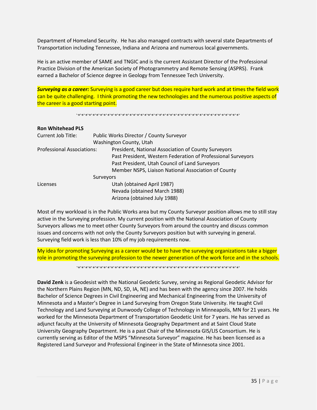Department of Homeland Security. He has also managed contracts with several state Departments of Transportation including Tennessee, Indiana and Arizona and numerous local governments.

He is an active member of SAME and TNGIC and is the current Assistant Director of the Professional Practice Division of the American Society of Photogrammetry and Remote Sensing (ASPRS). Frank earned a Bachelor of Science degree in Geology from Tennessee Tech University.

*Surveying as a career:* Surveying is a good career but does require hard work and at times the field work can be quite challenging. I think promoting the new technologies and the numerous positive aspects of the career is a good starting point.

`\*`\*`\*`\*`\*`\*`\*`\*`\*`\*`\*`\*`\*`\*`\*`\*`\*`\*`\*`\*`\*`\*`\*`\*`\*`\*`\*`\*`\*`\*`\*`\*`\*`\*`\*`\*`\*`\*`\*`\*`\*`\*`\*`\*`

| <b>Ron Whitehead PLS</b>   |  |                                                              |  |
|----------------------------|--|--------------------------------------------------------------|--|
| Current Job Title:         |  | Public Works Director / County Surveyor                      |  |
|                            |  | Washington County, Utah                                      |  |
| Professional Associations: |  | President, National Association of County Surveyors          |  |
|                            |  | Past President, Western Federation of Professional Surveyors |  |
|                            |  | Past President, Utah Council of Land Surveyors               |  |
|                            |  | Member NSPS, Liaison National Association of County          |  |
| Surveyors                  |  |                                                              |  |
| Licenses                   |  | Utah (obtained April 1987)                                   |  |
|                            |  | Nevada (obtained March 1988)                                 |  |
|                            |  | Arizona (obtained July 1988)                                 |  |

Most of my workload is in the Public Works area but my County Surveyor position allows me to still stay active in the Surveying profession. My current position with the National Association of County Surveyors allows me to meet other County Surveyors from around the country and discuss common issues and concerns with not only the County Surveyors position but with surveying in general. Surveying field work is less than 10% of my job requirements now.

My idea for promoting Surveying as a career would be to have the surveying organizations take a bigger role in promoting the surveying profession to the newer generation of the work force and in the schools.

`\*`\*`\*`\*`\*`\*`\*`\*`\*`\*`\*`\*`\*`\*`\*`\*`\*`\*`\*`\*`\*`\*`\*`\*`\*`\*`\*`\*`\*`\*`\*`\*`\*`\*`\*`\*`\*`\*`\*`\*`\*`\*`\*`\*`

**David Zenk** is a Geodesist with the National Geodetic Survey, serving as Regional Geodetic Advisor for the Northern Plains Region (MN, ND, SD, IA, NE) and has been with the agency since 2007. He holds Bachelor of Science Degrees in Civil Engineering and Mechanical Engineering from the University of Minnesota and a Master's Degree in Land Surveying from Oregon State University. He taught Civil Technology and Land Surveying at Dunwoody College of Technology in Minneapolis, MN for 21 years. He worked for the Minnesota Department of Transportation Geodetic Unit for 7 years. He has served as adjunct faculty at the University of Minnesota Geography Department and at Saint Cloud State University Geography Department. He is a past Chair of the Minnesota GIS/LIS Consortium. He is currently serving as Editor of the MSPS "Minnesota Surveyor" magazine. He has been licensed as a Registered Land Surveyor and Professional Engineer in the State of Minnesota since 2001.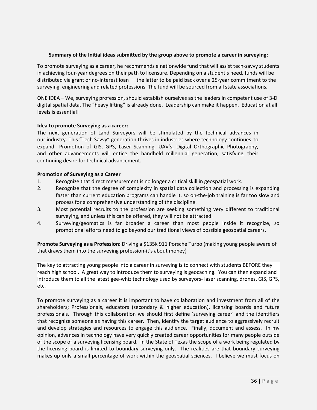## **Summary of the Initial ideas submitted by the group above to promote a career in surveying:**

To promote surveying as a career, he recommends a nationwide fund that will assist tech-savvy students in achieving four-year degrees on their path to licensure. Depending on a student's need, funds will be distributed via grant or no-interest loan — the latter to be paid back over a 25-year commitment to the surveying, engineering and related professions. The fund will be sourced from all state associations.

ONE IDEA – We, surveying profession, should establish ourselves as the leaders in competent use of 3-D digital spatial data. The "heavy lifting" is already done. Leadership can make it happen. Education at all levels is essential!

## **Idea to promote Surveying as a career:**

The next generation of Land Surveyors will be stimulated by the technical advances in our industry. This "Tech Savvy" generation thrives in industries where technology continues to expand. Promotion of GIS, GPS, Laser Scanning, UAV's, Digital Orthographic Photography, and other advancements will entice the handheld millennial generation, satisfying their continuing desire for technical advancement.

## **Promotion of Surveying as a Career**

- 1. Recognize that direct measurement is no longer a critical skill in geospatial work.
- 2. Recognize that the degree of complexity in spatial data collection and processing is expanding faster than current education programs can handle it, so on-the-job training is far too slow and process for a comprehensive understanding of the discipline.
- 3. Most potential recruits to the profession are seeking something very different to traditional surveying, and unless this can be offered, they will not be attracted.
- 4. Surveying/geomatics is far broader a career than most people inside it recognize, so promotional efforts need to go beyond our traditional views of possible geospatial careers.

**Promote Surveying as a Profession:** Driving a \$135k 911 Porsche Turbo (making young people aware of that draws them into the surveying profession-it's about money)

The key to attracting young people into a career in surveying is to connect with students BEFORE they reach high school. A great way to introduce them to surveying is geocaching. You can then expand and introduce them to all the latest gee-whiz technology used by surveyors- laser scanning, drones, GIS, GPS, etc.

To promote surveying as a career it is important to have collaboration and investment from all of the shareholders; Professionals, educators (secondary & higher education), licensing boards and future professionals. Through this collaboration we should first define 'surveying career' and the identifiers that recognize someone as having this career. Then, identify the target audience to aggressively recruit and develop strategies and resources to engage this audience. Finally, document and assess. In my opinion, advances in technology have very quickly created career opportunities for many people outside of the scope of a surveying licensing board. In the State of Texas the scope of a work being regulated by the licensing board is limited to boundary surveying only. The realities are that boundary surveying makes up only a small percentage of work within the geospatial sciences. I believe we must focus on